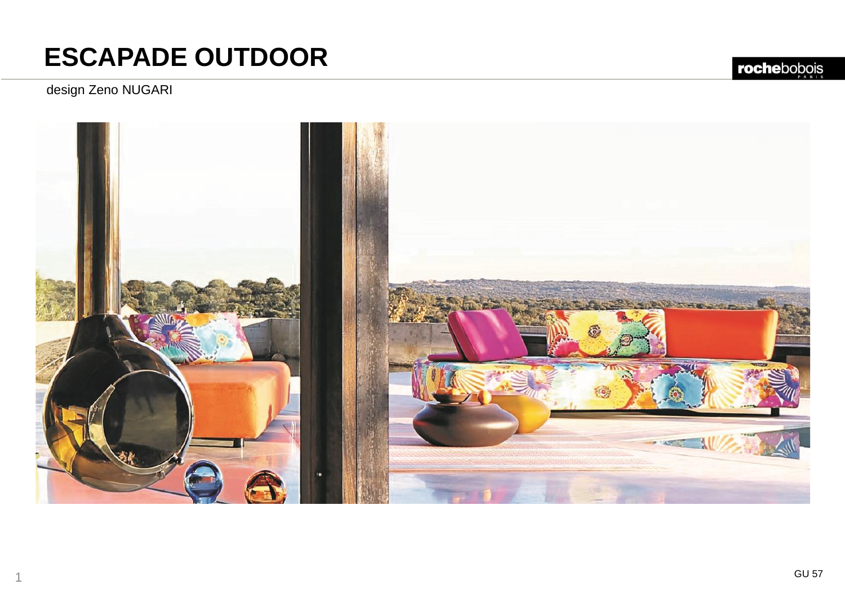### design Zeno NUGARI

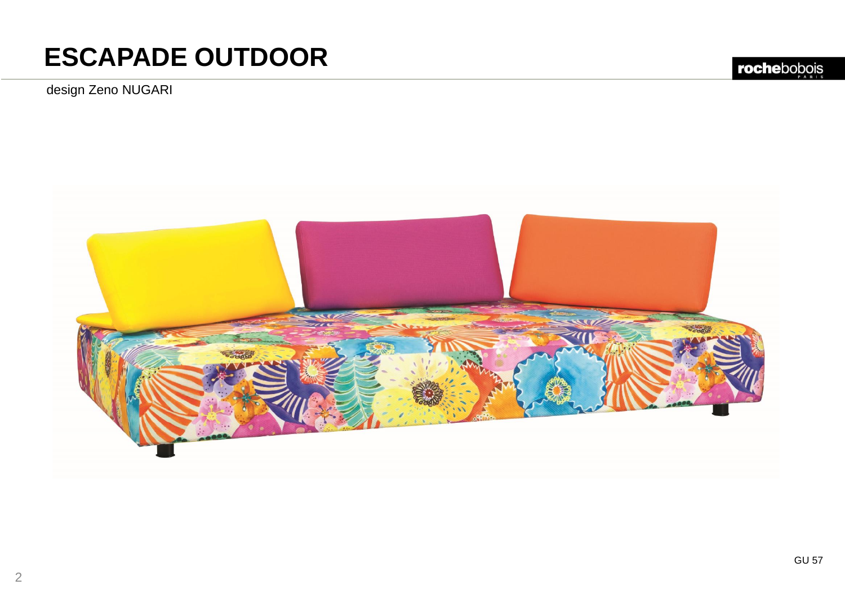design Zeno NUGARI



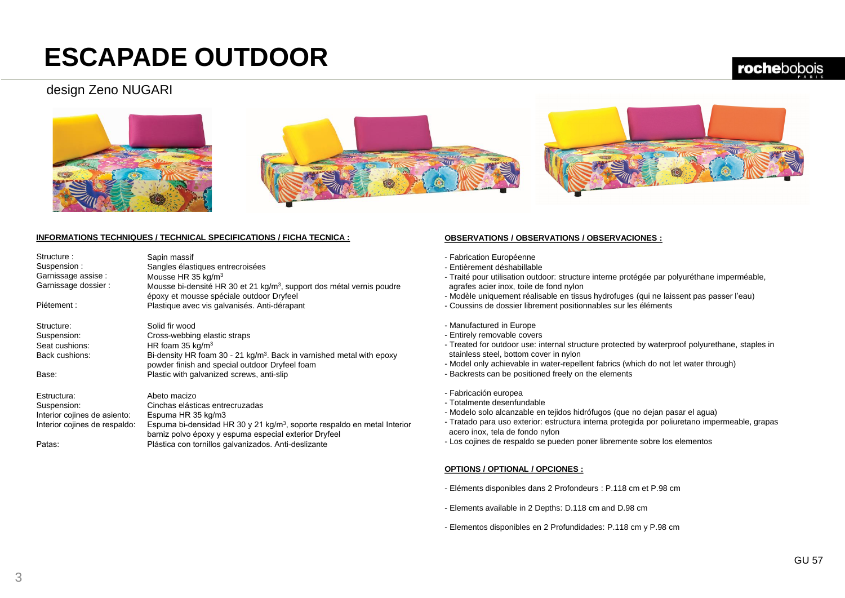#### design Zeno NUGARI





#### **INFORMATIONS TECHNIQUES / TECHNICAL SPECIFICATIONS / FICHA TECNICA :**

| Structure:<br>Suspension:     | Sapin massif<br>Sangles élastiques entrecroisées                                                                                              |
|-------------------------------|-----------------------------------------------------------------------------------------------------------------------------------------------|
| Garnissage assise :           | Mousse HR 35 kg/m <sup>3</sup>                                                                                                                |
| Garnissage dossier :          | Mousse bi-densité HR 30 et 21 kg/m <sup>3</sup> , support dos métal vernis poudre<br>époxy et mousse spéciale outdoor Dryfeel                 |
| Piétement :                   | Plastique avec vis galvanisés. Anti-dérapant                                                                                                  |
| Structure:                    | Solid fir wood                                                                                                                                |
| Suspension:                   | Cross-webbing elastic straps                                                                                                                  |
| Seat cushions:                | HR foam $35 \text{ kg/m}^3$                                                                                                                   |
| Back cushions:                | Bi-density HR foam 30 - 21 kg/m <sup>3</sup> . Back in varnished metal with epoxy<br>powder finish and special outdoor Dryfeel foam           |
| Base:                         | Plastic with galvanized screws, anti-slip                                                                                                     |
| Estructura:                   | Abeto macizo                                                                                                                                  |
| Suspension:                   | Cinchas elásticas entrecruzadas                                                                                                               |
| Interior cojines de asiento:  | Espuma HR 35 kg/m3                                                                                                                            |
| Interior cojines de respaldo: | Espuma bi-densidad HR 30 y 21 kg/m <sup>3</sup> , soporte respaldo en metal Interior<br>barniz polvo époxy y espuma especial exterior Dryfeel |

Plástica con tornillos galvanizados. Anti-deslizante

#### **OBSERVATIONS / OBSERVATIONS / OBSERVACIONES :**

- Fabrication Européenne
- Entièrement déshabillable
- Traité pour utilisation outdoor: structure interne protégée par polyuréthane imperméable, agrafes acier inox, toile de fond nylon
- Modèle uniquement réalisable en tissus hydrofuges (qui ne laissent pas passer l'eau)
- Coussins de dossier librement positionnables sur les éléments
- Manufactured in Europe
- Entirely removable covers
- Treated for outdoor use: internal structure protected by waterproof polyurethane, staples in stainless steel, bottom cover in nylon
- Model only achievable in water-repellent fabrics (which do not let water through)
- Backrests can be positioned freely on the elements
- Fabricación europea
- Totalmente desenfundable
- Modelo solo alcanzable en tejidos hidrófugos (que no dejan pasar el agua)
- Tratado para uso exterior: estructura interna protegida por poliuretano impermeable, grapas acero inox, tela de fondo nylon
- Los cojines de respaldo se pueden poner libremente sobre los elementos

#### **OPTIONS / OPTIONAL / OPCIONES :**

- Eléments disponibles dans 2 Profondeurs : P.118 cm et P.98 cm
- Elements available in 2 Depths: D.118 cm and D.98 cm
- Elementos disponibles en 2 Profundidades: P.118 cm y P.98 cm

Patas: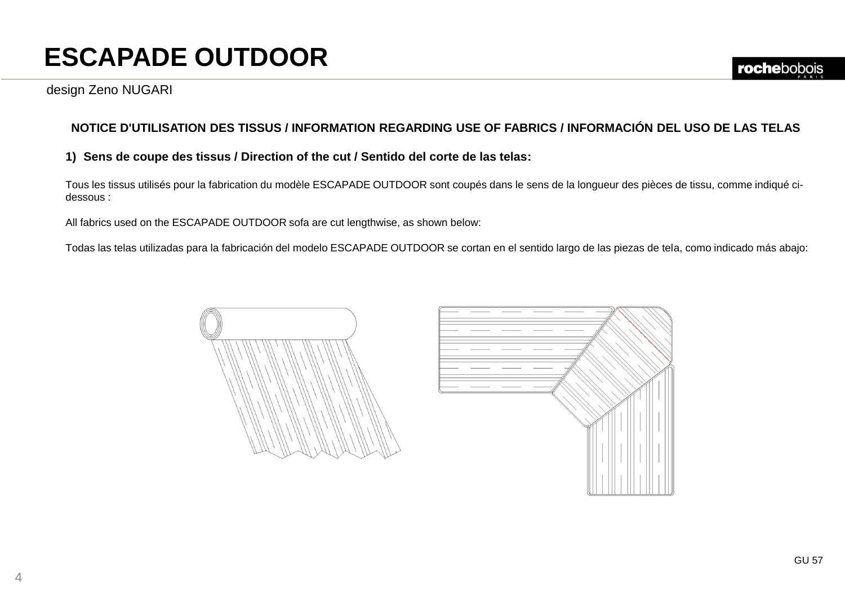### **NOTICE D'UTILISATION DES TISSUS / INFORMATION REGARDING USE OF FABRICS / INFORMACIÓN DEL USO DE LAS TELAS**

#### **1) Sens de coupe des tissus / Direction of the cut / Sentido del corte de las telas:**

Tous les tissus utilisés pour la fabrication du modèle ESCAPADE OUTDOOR sont coupés dans le sens de la longueur des pièces de tissu, comme indiqué cidessous :

All fabrics used on the ESCAPADE OUTDOOR sofa are cut lengthwise, as shown below:

Todas las telas utilizadas para la fabricación del modelo ESCAPADE OUTDOOR se cortan en el sentido largo de las piezas de tela, como indicado más abajo:



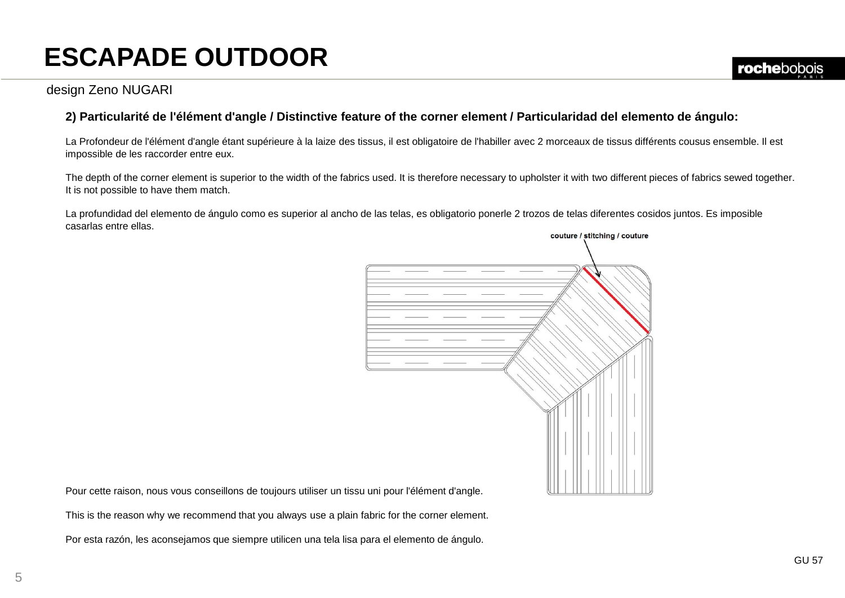### design Zeno NUGARI

### **2) Particularité de l'élément d'angle / Distinctive feature of the corner element / Particularidad del elemento de ángulo:**

La Profondeur de l'élément d'angle étant supérieure à la laize des tissus, il est obligatoire de l'habiller avec 2 morceaux de tissus différents cousus ensemble. Il est impossible de les raccorder entre eux.

The depth of the corner element is superior to the width of the fabrics used. It is therefore necessary to upholster it with two different pieces of fabrics sewed together. It is not possible to have them match.

La profundidad del elemento de ángulo como es superior al ancho de las telas, es obligatorio ponerle 2 trozos de telas diferentes cosidos juntos. Es imposible casarlas entre ellas.



Pour cette raison, nous vous conseillons de toujours utiliser un tissu uni pour l'élément d'angle.

This is the reason why we recommend that you always use a plain fabric for the corner element.

Por esta razón, les aconsejamos que siempre utilicen una tela lisa para el elemento de ángulo.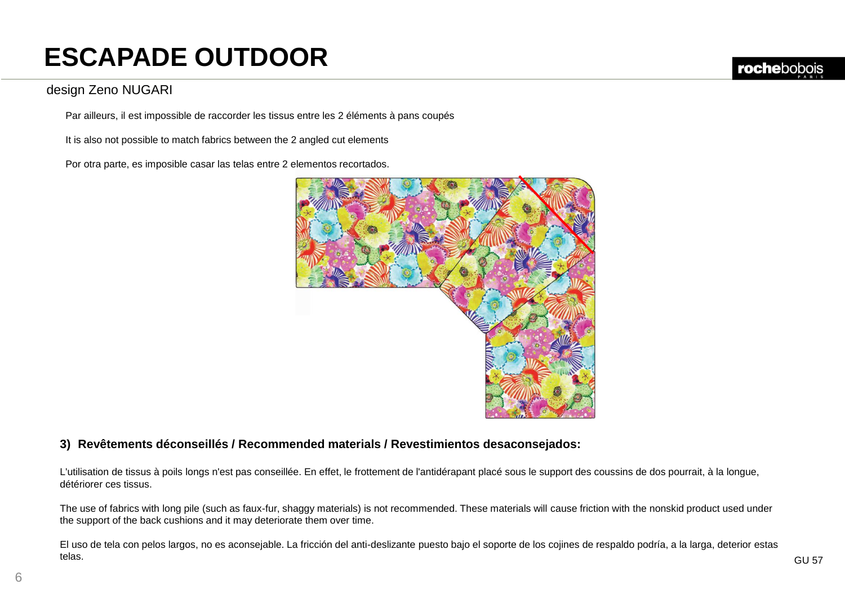### design Zeno NUGARI

Par ailleurs, il est impossible de raccorder les tissus entre les 2 éléments à pans coupés

It is also not possible to match fabrics between the 2 angled cut elements

Por otra parte, es imposible casar las telas entre 2 elementos recortados.



#### **3) Revêtements déconseillés / Recommended materials / Revestimientos desaconsejados:**

L'utilisation de tissus à poils longs n'est pas conseillée. En effet, le frottement de l'antidérapant placé sous le support des coussins de dos pourrait, à la longue, détériorer ces tissus.

The use of fabrics with long pile (such as faux-fur, shaggy materials) is not recommended. These materials will cause friction with the nonskid product used under the support of the back cushions and it may deteriorate them over time.

El uso de tela con pelos largos, no es aconsejable. La fricción del anti-deslizante puesto bajo el soporte de los cojines de respaldo podría, a la larga, deterior estas telas.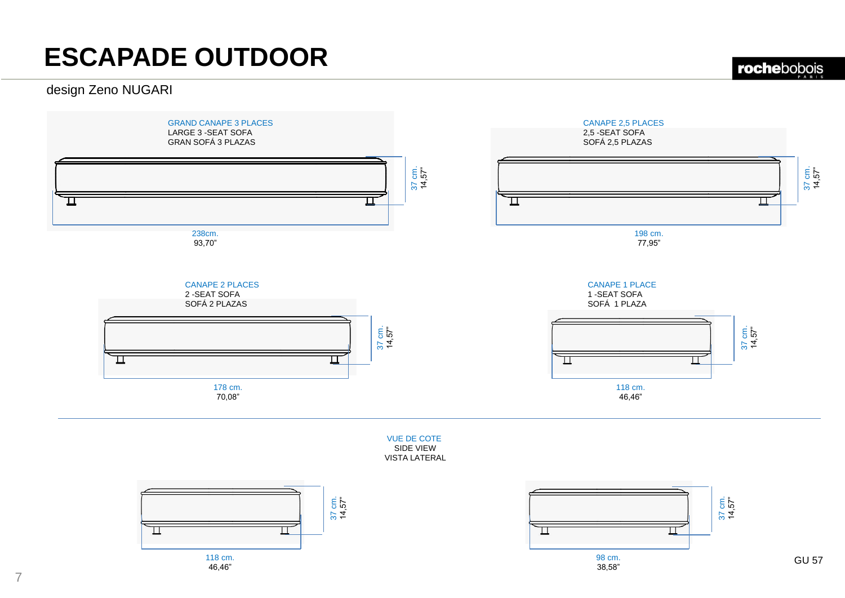### design Zeno NUGARI





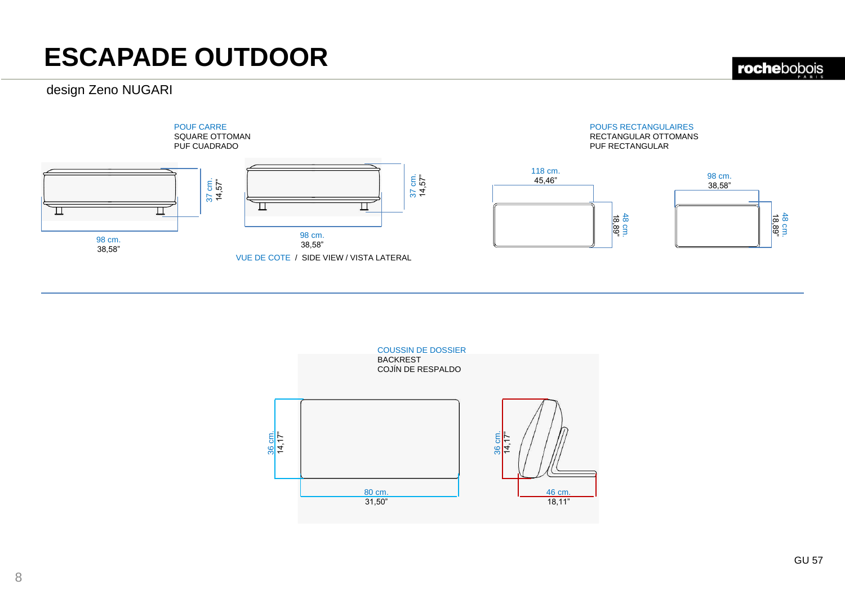### design Zeno NUGARI

rochebobois

18,89" 48 cm.



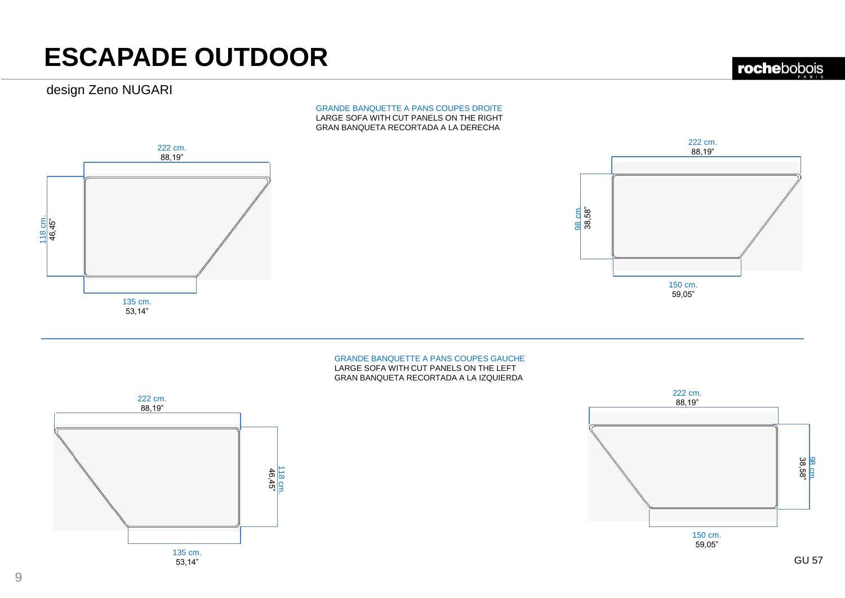### design Zeno NUGARI

#### GRANDE BANQUETTE A PANS COUPES DROITE LARGE SOFA WITH CUT PANELS ON THE RIGHT GRAN BANQUETA RECORTADA A LA DERECHA



#### GRANDE BANQUETTE A PANS COUPES GAUCHE LARGE SOFA WITH CUT PANELS ON THE LEFT GRAN BANQUETA RECORTADA A LA IZQUIERDA



150 cm. 59,05" 222 cm. 88,19" 38,58" 98 cm.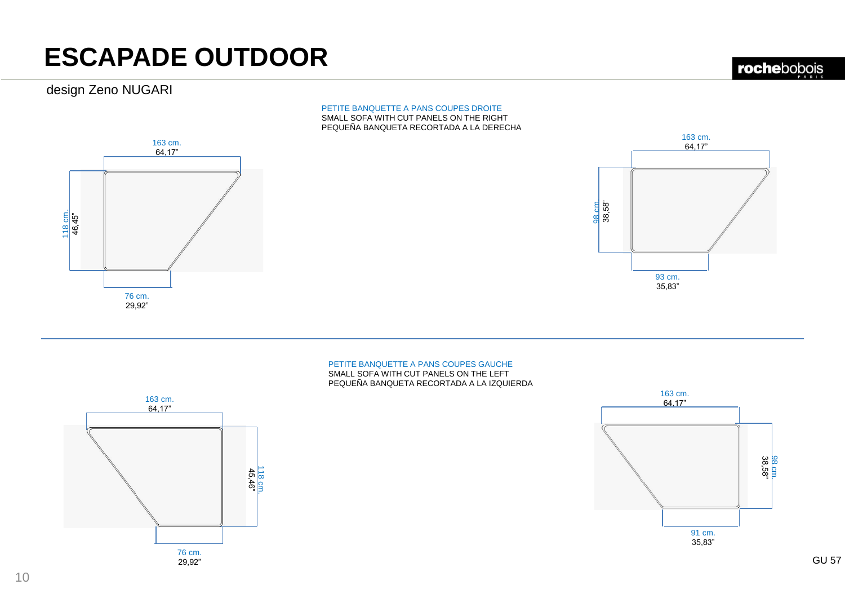### design Zeno NUGARI

#### PETITE BANQUETTE A PANS COUPES DROITE SMALL SOFA WITH CUT PANELS ON THE RIGHT PEQUEÑA BANQUETA RECORTADA A LA DERECHA





#### PETITE BANQUETTE A PANS COUPES GAUCHE SMALL SOFA WITH CUT PANELS ON THE LEFT PEQUEÑA BANQUETA RECORTADA A LA IZQUIERDA